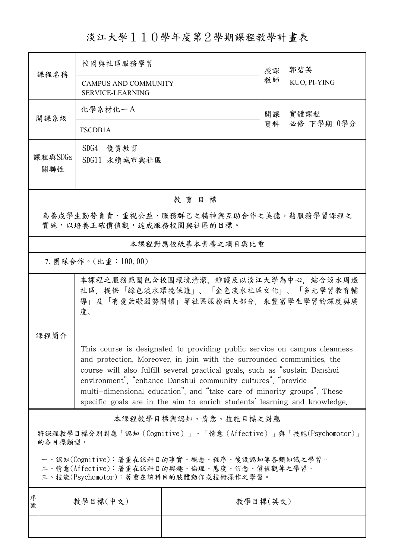## 淡江大學110學年度第2學期課程教學計畫表

| 課程名稱                                                                                                                                   | 校園與社區服務學習                                                                                                                                                                                                                                                                                                                                                                                                                                                 |                   | 授課 | 郭碧英                |  |  |  |
|----------------------------------------------------------------------------------------------------------------------------------------|-----------------------------------------------------------------------------------------------------------------------------------------------------------------------------------------------------------------------------------------------------------------------------------------------------------------------------------------------------------------------------------------------------------------------------------------------------------|-------------------|----|--------------------|--|--|--|
|                                                                                                                                        | <b>CAMPUS AND COMMUNITY</b><br><b>SERVICE-LEARNING</b>                                                                                                                                                                                                                                                                                                                                                                                                    |                   | 教師 | KUO, PI-YING       |  |  |  |
| 開課系級                                                                                                                                   | 化學系材化一A                                                                                                                                                                                                                                                                                                                                                                                                                                                   |                   | 開課 | 實體課程<br>必修 下學期 0學分 |  |  |  |
|                                                                                                                                        | <b>TSCDB1A</b>                                                                                                                                                                                                                                                                                                                                                                                                                                            |                   | 資料 |                    |  |  |  |
| 課程與SDGs<br>關聯性                                                                                                                         | SDG4 優質教育<br>SDG11 永續城市與社區                                                                                                                                                                                                                                                                                                                                                                                                                                |                   |    |                    |  |  |  |
| 教育目標                                                                                                                                   |                                                                                                                                                                                                                                                                                                                                                                                                                                                           |                   |    |                    |  |  |  |
| 為養成學生勤勞負責、重視公益、服務群己之精神與互助合作之美德,藉服務學習課程之<br>實施,以培養正確價值觀,達成服務校園與社區的目標。                                                                   |                                                                                                                                                                                                                                                                                                                                                                                                                                                           |                   |    |                    |  |  |  |
|                                                                                                                                        |                                                                                                                                                                                                                                                                                                                                                                                                                                                           | 本課程對應校級基本素養之項目與比重 |    |                    |  |  |  |
| 7. 團隊合作。(比重:100.00)                                                                                                                    |                                                                                                                                                                                                                                                                                                                                                                                                                                                           |                   |    |                    |  |  |  |
|                                                                                                                                        | 本課程之服務範圍包含校園環境清潔、維護及以淡江大學為中心,結合淡水周邊<br>社區,提供「綠色淡水環境保護」、「金色淡水社區文化」、「多元學習教育輔<br>導」及「有愛無礙弱勢關懷」等社區服務兩大部分,來豐富學生學習的深度與廣<br>度。                                                                                                                                                                                                                                                                                                                                   |                   |    |                    |  |  |  |
| 課程簡介                                                                                                                                   |                                                                                                                                                                                                                                                                                                                                                                                                                                                           |                   |    |                    |  |  |  |
|                                                                                                                                        | This course is designated to providing public service on campus cleanness<br>and protection. Moreover, in join with the surrounded communities, the<br>course will also fulfill several practical goals, such as "sustain Danshui<br>environment", "enhance Danshui community cultures", "provide<br>multi-dimensional education", and "take care of minority groups". These<br>specific goals are in the aim to enrich students' learning and knowledge. |                   |    |                    |  |  |  |
| 本課程教學目標與認知、情意、技能目標之對應                                                                                                                  |                                                                                                                                                                                                                                                                                                                                                                                                                                                           |                   |    |                    |  |  |  |
| 將課程教學目標分別對應「認知(Cognitive)」、「情意(Affective)」與「技能(Psychomotor)」<br>的各目標類型。                                                                |                                                                                                                                                                                                                                                                                                                                                                                                                                                           |                   |    |                    |  |  |  |
| 一、認知(Cognitive):著重在該科目的事實、概念、程序、後設認知等各類知識之學習。<br>二、情意(Affective):著重在該科目的興趣、倫理、態度、信念、價值觀等之學習。<br>三、技能(Psychomotor):著重在該科目的肢體動作或技術操作之學習。 |                                                                                                                                                                                                                                                                                                                                                                                                                                                           |                   |    |                    |  |  |  |
| 序<br>號                                                                                                                                 | 教學目標(中文)                                                                                                                                                                                                                                                                                                                                                                                                                                                  | 教學目標(英文)          |    |                    |  |  |  |
|                                                                                                                                        |                                                                                                                                                                                                                                                                                                                                                                                                                                                           |                   |    |                    |  |  |  |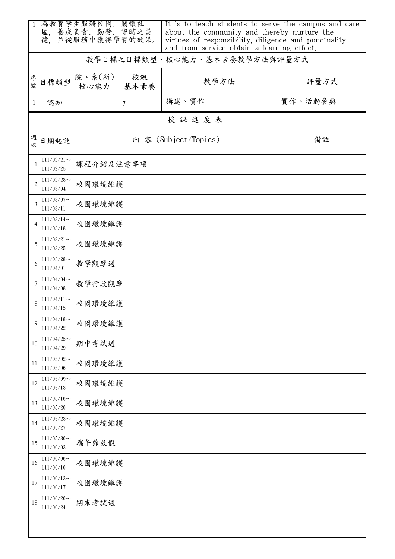| -1             | 為教育學生服務校園、關懷社<br>養成負責、勤勞、守時之美<br>並從服務中獲得學習的效果。<br>區,<br>德. |                      |                 | It is to teach students to serve the campus and care<br>about the community and thereby nurture the<br>virtues of responsibility, diligence and punctuality<br>and from service obtain a learning effect. |         |  |  |  |
|----------------|------------------------------------------------------------|----------------------|-----------------|-----------------------------------------------------------------------------------------------------------------------------------------------------------------------------------------------------------|---------|--|--|--|
|                |                                                            |                      |                 | 教學目標之目標類型、核心能力、基本素養教學方法與評量方式                                                                                                                                                                              |         |  |  |  |
| 序號             | 目標類型                                                       | 院、系(所)<br>核心能力       | 校級<br>基本素養      | 教學方法                                                                                                                                                                                                      | 評量方式    |  |  |  |
| 1              | 認知                                                         |                      | $7\phantom{.0}$ | 講述、實作                                                                                                                                                                                                     | 實作、活動參與 |  |  |  |
|                | 授課進度表                                                      |                      |                 |                                                                                                                                                                                                           |         |  |  |  |
| 週次             | 日期起訖                                                       | 內 容 (Subject/Topics) |                 |                                                                                                                                                                                                           | 備註      |  |  |  |
| 1              | $111/02/21$ ~<br>111/02/25                                 | 課程介紹及注意事項            |                 |                                                                                                                                                                                                           |         |  |  |  |
| $\overline{2}$ | $111/02/28$ ~<br>111/03/04                                 | 校園環境維護               |                 |                                                                                                                                                                                                           |         |  |  |  |
| 3              | $111/03/07$ ~<br>111/03/11                                 |                      | 校園環境維護          |                                                                                                                                                                                                           |         |  |  |  |
| $\overline{4}$ | $111/03/14$ ~<br>111/03/18                                 | 校園環境維護               |                 |                                                                                                                                                                                                           |         |  |  |  |
| 5              | $111/03/21$ ~<br>111/03/25                                 | 校園環境維護               |                 |                                                                                                                                                                                                           |         |  |  |  |
| 6              | $111/03/28$ ~<br>111/04/01                                 | 教學觀摩週                |                 |                                                                                                                                                                                                           |         |  |  |  |
| 7              | $111/04/04$ ~<br>111/04/08                                 | 教學行政觀摩               |                 |                                                                                                                                                                                                           |         |  |  |  |
| 8              | $111/04/11$ ~<br>111/04/15                                 | 校園環境維護               |                 |                                                                                                                                                                                                           |         |  |  |  |
| 9              | $111/04/18$ ~<br>111/04/22                                 | 校園環境維護               |                 |                                                                                                                                                                                                           |         |  |  |  |
| 10             | $111/04/25$ ~<br>111/04/29                                 | 期中考試週                |                 |                                                                                                                                                                                                           |         |  |  |  |
| 11             | $111/05/02$ ~<br>111/05/06                                 |                      | 校園環境維護          |                                                                                                                                                                                                           |         |  |  |  |
| 12             | $111/05/09$ ~<br>111/05/13                                 | 校園環境維護               |                 |                                                                                                                                                                                                           |         |  |  |  |
| 13             | $111/05/16$ ~<br>111/05/20                                 | 校園環境維護               |                 |                                                                                                                                                                                                           |         |  |  |  |
| 14             | $111/05/23$ ~<br>111/05/27                                 |                      | 校園環境維護          |                                                                                                                                                                                                           |         |  |  |  |
| 15             | $111/05/30$ ~<br>111/06/03                                 | 端午節放假                |                 |                                                                                                                                                                                                           |         |  |  |  |
| 16             | $111/06/06$ ~<br>111/06/10                                 |                      | 校園環境維護          |                                                                                                                                                                                                           |         |  |  |  |
| 17             | $111/06/13$ ~<br>111/06/17                                 | 校園環境維護               |                 |                                                                                                                                                                                                           |         |  |  |  |
| 18             | $111/06/20$ ~<br>111/06/24                                 | 期末考試週                |                 |                                                                                                                                                                                                           |         |  |  |  |
|                |                                                            |                      |                 |                                                                                                                                                                                                           |         |  |  |  |